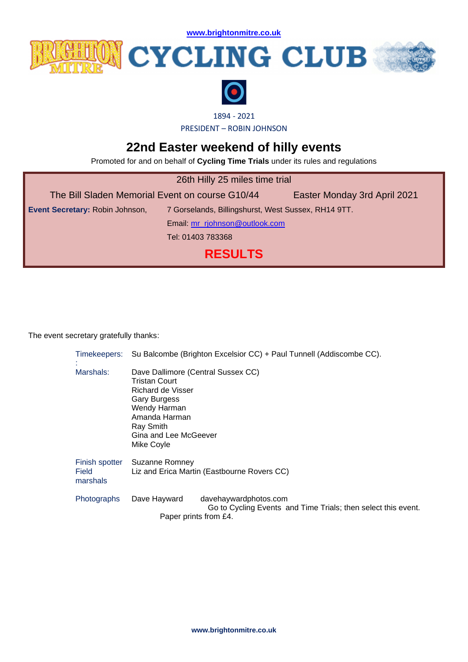**[www.brightonmitre.co.uk](file:///C:/Users/user/Documents/SCA%20Website%20Documents/Docs%202016/20160326%20BM%20Hilly%2010/www.brightonmitre.co.uk)**



## **ENDER CYCLING CLUB**





1894 - 2021

PRESIDENT – ROBIN JOHNSON

## **22nd Easter weekend of hilly events**

Promoted for and on behalf of **Cycling Time Trials** under its rules and regulations

| 26th Hilly 25 miles time trial                  |                                                     |                              |  |
|-------------------------------------------------|-----------------------------------------------------|------------------------------|--|
| The Bill Sladen Memorial Event on course G10/44 |                                                     | Easter Monday 3rd April 2021 |  |
| Event Secretary: Robin Johnson,                 | 7 Gorselands, Billingshurst, West Sussex, RH14 9TT. |                              |  |
| Email: mr_rjohnson@outlook.com                  |                                                     |                              |  |
|                                                 | Tel: 01403 783368                                   |                              |  |
| <b>RESULTS</b>                                  |                                                     |                              |  |

The event secretary gratefully thanks:

|                                     | Timekeepers: Su Balcombe (Brighton Excelsior CC) + Paul Tunnell (Addiscombe CC).                                                                                                     |                                                                                        |
|-------------------------------------|--------------------------------------------------------------------------------------------------------------------------------------------------------------------------------------|----------------------------------------------------------------------------------------|
| Marshals:                           | Dave Dallimore (Central Sussex CC)<br>Tristan Court<br>Richard de Visser<br><b>Gary Burgess</b><br>Wendy Harman<br>Amanda Harman<br>Ray Smith<br>Gina and Lee McGeever<br>Mike Coyle |                                                                                        |
| Finish spotter<br>Field<br>marshals | Suzanne Romney                                                                                                                                                                       | Liz and Erica Martin (Eastbourne Rovers CC)                                            |
| Photographs                         | Dave Hayward<br>Paper prints from £4.                                                                                                                                                | davehaywardphotos.com<br>Go to Cycling Events and Time Trials; then select this event. |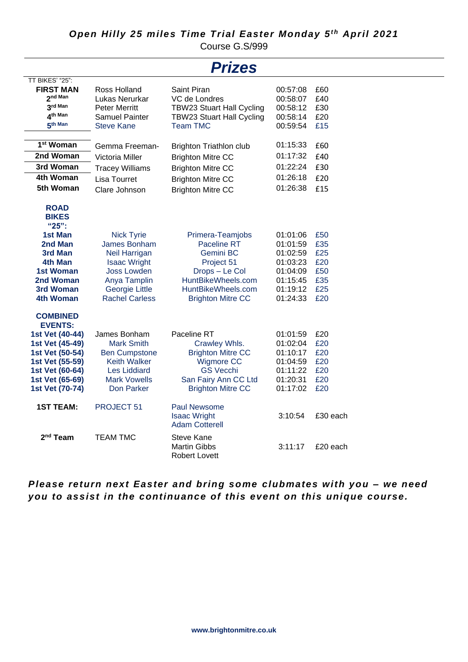Course G.S/999

|                                                                                                                                                                        |                                                                                                                                                                          | <b>Prizes</b>                                                                                                                                         |                                                                                              |                                                      |
|------------------------------------------------------------------------------------------------------------------------------------------------------------------------|--------------------------------------------------------------------------------------------------------------------------------------------------------------------------|-------------------------------------------------------------------------------------------------------------------------------------------------------|----------------------------------------------------------------------------------------------|------------------------------------------------------|
| TT BIKES' "25":<br><b>FIRST MAN</b><br>2 <sup>nd Man</sup><br>3rd Man<br>Ath Man<br>5th Man                                                                            | Ross Holland<br>Lukas Nerurkar<br><b>Peter Merritt</b><br><b>Samuel Painter</b><br><b>Steve Kane</b>                                                                     | Saint Piran<br>VC de Londres<br><b>TBW23 Stuart Hall Cycling</b><br><b>TBW23 Stuart Hall Cycling</b><br><b>Team TMC</b>                               | 00:57:08<br>00:58:07<br>00:58:12<br>00:58:14<br>00:59:54                                     | £60<br>£40<br>£30<br>£20<br>£15                      |
| 1 <sup>st</sup> Woman<br>2nd Woman                                                                                                                                     | Gemma Freeman-<br>Victoria Miller                                                                                                                                        | <b>Brighton Triathlon club</b><br><b>Brighton Mitre CC</b>                                                                                            | 01:15:33<br>01:17:32                                                                         | £60<br>£40                                           |
| 3rd Woman                                                                                                                                                              | <b>Tracey Williams</b>                                                                                                                                                   | <b>Brighton Mitre CC</b>                                                                                                                              | 01:22:24                                                                                     | £30                                                  |
| 4th Woman<br>5th Woman                                                                                                                                                 | Lisa Tourret<br>Clare Johnson                                                                                                                                            | <b>Brighton Mitre CC</b><br><b>Brighton Mitre CC</b>                                                                                                  | 01:26:18<br>01:26:38                                                                         | £20<br>£15                                           |
| <b>ROAD</b><br><b>BIKES</b><br>"25":<br>1st Man<br>2nd Man<br>3rd Man<br>4th Man<br>1st Woman<br>2nd Woman<br>3rd Woman<br>4th Woman                                   | <b>Nick Tyrie</b><br>James Bonham<br><b>Neil Harrigan</b><br><b>Isaac Wright</b><br><b>Joss Lowden</b><br>Anya Tamplin<br><b>Georgie Little</b><br><b>Rachel Carless</b> | Primera-Teamjobs<br>Paceline RT<br>Gemini BC<br>Project 51<br>Drops - Le Col<br>HuntBikeWheels.com<br>HuntBikeWheels.com<br><b>Brighton Mitre CC</b>  | 01:01:06<br>01:01:59<br>01:02:59<br>01:03:23<br>01:04:09<br>01:15:45<br>01:19:12<br>01:24:33 | £50<br>£35<br>£25<br>£20<br>£50<br>£35<br>£25<br>£20 |
| <b>COMBINED</b><br><b>EVENTS:</b><br>1st Vet (40-44)<br>1st Vet (45-49)<br>1st Vet (50-54)<br>1st Vet (55-59)<br>1st Vet (60-64)<br>1st Vet (65-69)<br>1st Vet (70-74) | James Bonham<br><b>Mark Smith</b><br><b>Ben Cumpstone</b><br><b>Keith Walker</b><br><b>Les Liddiard</b><br><b>Mark Vowells</b><br>Don Parker                             | Paceline RT<br>Crawley Whls.<br><b>Brighton Mitre CC</b><br><b>Wigmore CC</b><br><b>GS Vecchi</b><br>San Fairy Ann CC Ltd<br><b>Brighton Mitre CC</b> | 01:01:59<br>01:02:04<br>01:10:17<br>01:04:59<br>01:11:22<br>01:20:31<br>01:17:02             | £20<br>£20<br>£20<br>£20<br>£20<br>£20<br>£20        |
| <b>1ST TEAM:</b>                                                                                                                                                       | PROJECT 51                                                                                                                                                               | <b>Paul Newsome</b><br><b>Isaac Wright</b><br><b>Adam Cotterell</b>                                                                                   | 3:10:54                                                                                      | £30 each                                             |
| 2 <sup>nd</sup> Team                                                                                                                                                   | <b>TEAM TMC</b>                                                                                                                                                          | Steve Kane<br><b>Martin Gibbs</b><br><b>Robert Lovett</b>                                                                                             | 3:11:17                                                                                      | £20 each                                             |

*Please return next Easter and bring some clubmates with you – we need you to assist in the continuance of this event on this unique course.*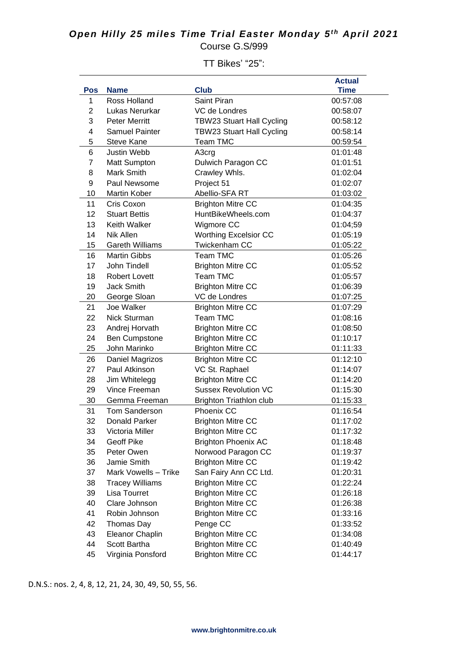## *Open Hilly 25 miles Time Trial Easter Monday 5 t h April 2021* Course G.S/999

**Pos Name Club Actual Time** 1 Ross Holland Saint Piran 60:57:08 2 Lukas Nerurkar VC de Londres 00:58:07 3 Peter Merritt TBW23 Stuart Hall Cycling 00:58:12 4 Samuel Painter TBW23 Stuart Hall Cycling 00:58:14 5 Steve Kane Team TMC 00:59:54 6 Justin Webb A3crg 01:01:48 7 Matt Sumpton Dulwich Paragon CC 01:01:51 8 Mark Smith Crawley Whls. 61:02:04 9 Paul Newsome Project 51 Protect 51 01:02:07 10 Martin Kober Abellio-SFA RT 01:03:02 11 Cris Coxon Brighton Mitre CC 01:04:35 12 Stuart Bettis HuntBikeWheels.com 01:04:37 13 Keith Walker **Wigmore CC** 01:04:59 14 Nik Allen Worthing Excelsior CC 01:05:19 15 Gareth Williams Twickenham CC 01:05:22 16 Martin Gibbs Team TMC 01:05:26 17 John Tindell **Brighton Mitre CC** 01:05:52 18 Robert Lovett Team TMC 11:05:57 19 Jack Smith Brighton Mitre CC 01:06:39 20 George Sloan VC de Londres 01:07:25 21 Joe Walker Brighton Mitre CC 01:07:29 22 Nick Sturman Team TMC 01:08:16 23 Andrej Horvath Brighton Mitre CC 01:08:50 24 Ben Cumpstone Brighton Mitre CC 01:10:17 25 John Marinko Brighton Mitre CC 01:11:33 26 Daniel Magrizos Brighton Mitre CC 01:12:10 27 Paul Atkinson VC St. Raphael 01:14:07 28 Jim Whitelegg Brighton Mitre CC 01:14:20 29 Vince Freeman Sussex Revolution VC 01:15:30 30 Gemma Freeman Brighton Triathlon club 01:15:33 31 Tom Sanderson Phoenix CC 01:16:54 32 Donald Parker Brighton Mitre CC 01:17:02 33 Victoria Miller Brighton Mitre CC 01:17:32 34 Geoff Pike Brighton Phoenix AC 01:18:48 35 Peter Owen Norwood Paragon CC 01:19:37 36 Jamie Smith Brighton Mitre CC 01:19:42 37 Mark Vowells – Trike San Fairy Ann CC Ltd. 01:20:31 38 Tracey Williams Brighton Mitre CC 01:22:24 39 Lisa Tourret Brighton Mitre CC 01:26:18 40 Clare Johnson Brighton Mitre CC 01:26:38 41 Robin Johnson Brighton Mitre CC 01:33:16 42 Thomas Day Penge CC 01:33:52 43 Eleanor Chaplin Brighton Mitre CC 01:34:08 44 Scott Bartha **Brighton Mitre CC** 01:40:49 45 Virginia Ponsford Brighton Mitre CC 01:44:17

TT Bikes' "25":

D.N.S.: nos. 2, 4, 8, 12, 21, 24, 30, 49, 50, 55, 56.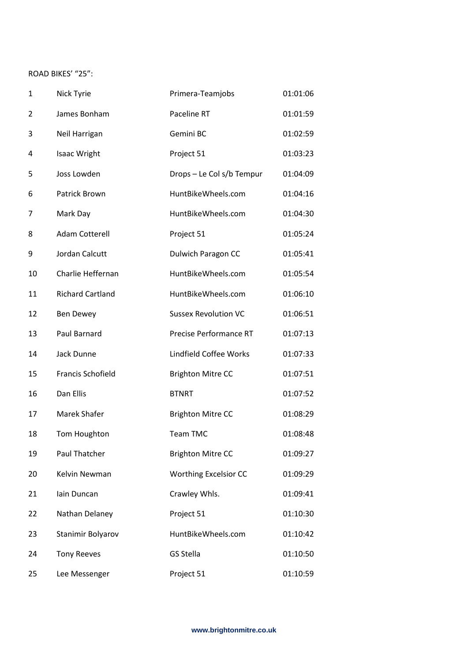## ROAD BIKES' "25":

| $\mathbf{1}$ | Nick Tyrie               | Primera-Teamjobs             | 01:01:06 |
|--------------|--------------------------|------------------------------|----------|
| 2            | James Bonham             | Paceline RT                  | 01:01:59 |
| 3            | Neil Harrigan            | Gemini BC                    | 01:02:59 |
| 4            | <b>Isaac Wright</b>      | Project 51                   | 01:03:23 |
| 5            | Joss Lowden              | Drops - Le Col s/b Tempur    | 01:04:09 |
| 6            | Patrick Brown            | HuntBikeWheels.com           | 01:04:16 |
| 7            | Mark Day                 | HuntBikeWheels.com           | 01:04:30 |
| 8            | <b>Adam Cotterell</b>    | Project 51                   | 01:05:24 |
| 9            | Jordan Calcutt           | Dulwich Paragon CC           | 01:05:41 |
| 10           | Charlie Heffernan        | HuntBikeWheels.com           | 01:05:54 |
| 11           | <b>Richard Cartland</b>  | HuntBikeWheels.com           | 01:06:10 |
| 12           | <b>Ben Dewey</b>         | <b>Sussex Revolution VC</b>  | 01:06:51 |
| 13           | Paul Barnard             | Precise Performance RT       | 01:07:13 |
| 14           | Jack Dunne               | Lindfield Coffee Works       | 01:07:33 |
| 15           | <b>Francis Schofield</b> | <b>Brighton Mitre CC</b>     | 01:07:51 |
| 16           | Dan Ellis                | <b>BTNRT</b>                 | 01:07:52 |
| 17           | Marek Shafer             | <b>Brighton Mitre CC</b>     | 01:08:29 |
| 18           | Tom Houghton             | <b>Team TMC</b>              | 01:08:48 |
| 19           | Paul Thatcher            | <b>Brighton Mitre CC</b>     | 01:09:27 |
| 20           | Kelvin Newman            | <b>Worthing Excelsior CC</b> | 01:09:29 |
| 21           | lain Duncan              | Crawley Whls.                | 01:09:41 |
| 22           | Nathan Delaney           | Project 51                   | 01:10:30 |
| 23           | Stanimir Bolyarov        | HuntBikeWheels.com           | 01:10:42 |
| 24           | <b>Tony Reeves</b>       | <b>GS Stella</b>             | 01:10:50 |
| 25           | Lee Messenger            | Project 51                   | 01:10:59 |